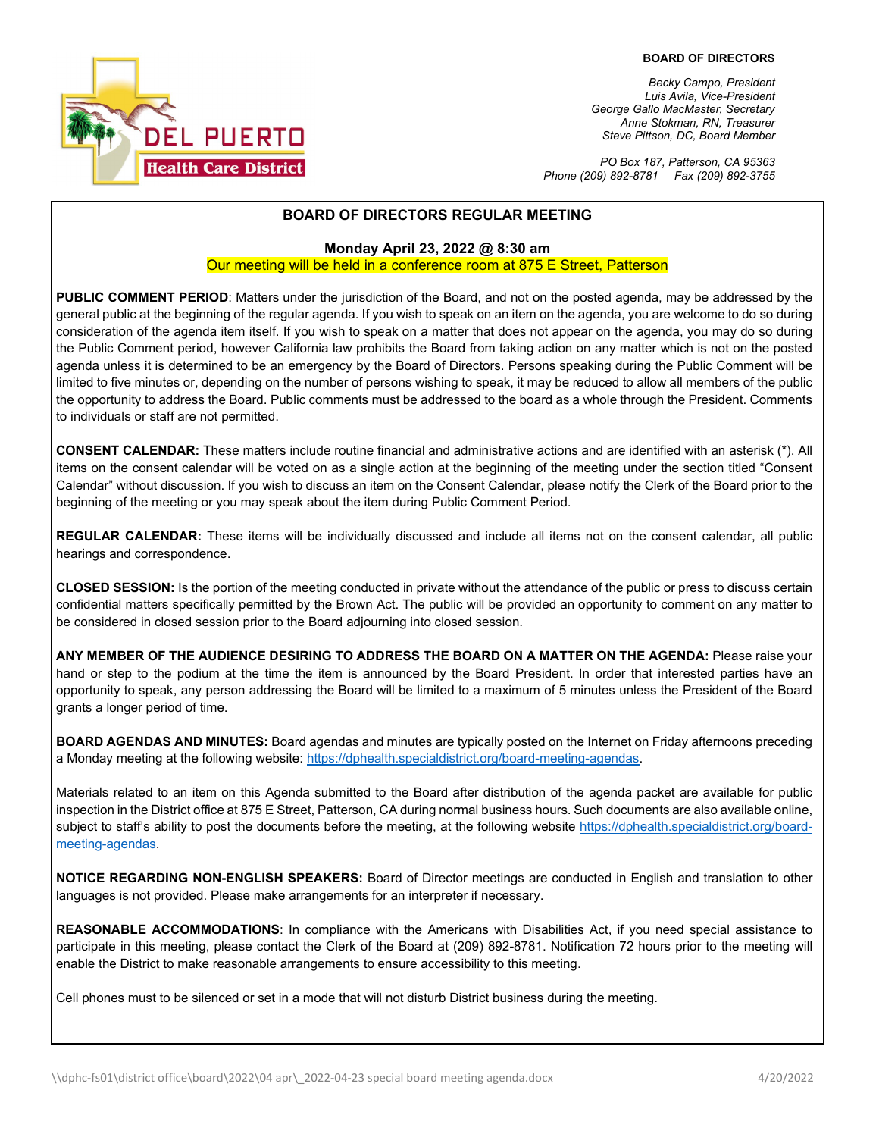

*Becky Campo, President Luis Avila, Vice-President George Gallo MacMaster, Secretary Anne Stokman, RN, Treasurer Steve Pittson, DC, Board Member*

*PO Box 187, Patterson, CA 95363 Phone (209) 892-8781 Fax (209) 892-3755*

### **BOARD OF DIRECTORS REGULAR MEETING**

#### **Monday April 23, 2022 @ 8:30 am**

#### Our meeting will be held in a conference room at 875 E Street, Patterson

**PUBLIC COMMENT PERIOD**: Matters under the jurisdiction of the Board, and not on the posted agenda, may be addressed by the general public at the beginning of the regular agenda. If you wish to speak on an item on the agenda, you are welcome to do so during consideration of the agenda item itself. If you wish to speak on a matter that does not appear on the agenda, you may do so during the Public Comment period, however California law prohibits the Board from taking action on any matter which is not on the posted agenda unless it is determined to be an emergency by the Board of Directors. Persons speaking during the Public Comment will be limited to five minutes or, depending on the number of persons wishing to speak, it may be reduced to allow all members of the public the opportunity to address the Board. Public comments must be addressed to the board as a whole through the President. Comments to individuals or staff are not permitted.

**CONSENT CALENDAR:** These matters include routine financial and administrative actions and are identified with an asterisk (\*). All items on the consent calendar will be voted on as a single action at the beginning of the meeting under the section titled "Consent Calendar" without discussion. If you wish to discuss an item on the Consent Calendar, please notify the Clerk of the Board prior to the beginning of the meeting or you may speak about the item during Public Comment Period.

**REGULAR CALENDAR:** These items will be individually discussed and include all items not on the consent calendar, all public hearings and correspondence.

**CLOSED SESSION:** Is the portion of the meeting conducted in private without the attendance of the public or press to discuss certain confidential matters specifically permitted by the Brown Act. The public will be provided an opportunity to comment on any matter to be considered in closed session prior to the Board adjourning into closed session.

**ANY MEMBER OF THE AUDIENCE DESIRING TO ADDRESS THE BOARD ON A MATTER ON THE AGENDA:** Please raise your hand or step to the podium at the time the item is announced by the Board President. In order that interested parties have an opportunity to speak, any person addressing the Board will be limited to a maximum of 5 minutes unless the President of the Board grants a longer period of time.

**BOARD AGENDAS AND MINUTES:** Board agendas and minutes are typically posted on the Internet on Friday afternoons preceding a Monday meeting at the following website: https://dphealth.specialdistrict.org/board-meeting-agendas.

Materials related to an item on this Agenda submitted to the Board after distribution of the agenda packet are available for public inspection in the District office at 875 E Street, Patterson, CA during normal business hours. Such documents are also available online, subject to staff's ability to post the documents before the meeting, at the following website [https://dphealth.specialdistrict.org/board](https://dphealth.specialdistrict.org/board-meeting-agendas)[meeting-agendas.](https://dphealth.specialdistrict.org/board-meeting-agendas)

**NOTICE REGARDING NON-ENGLISH SPEAKERS:** Board of Director meetings are conducted in English and translation to other languages is not provided. Please make arrangements for an interpreter if necessary.

**REASONABLE ACCOMMODATIONS**: In compliance with the Americans with Disabilities Act, if you need special assistance to participate in this meeting, please contact the Clerk of the Board at (209) 892-8781. Notification 72 hours prior to the meeting will enable the District to make reasonable arrangements to ensure accessibility to this meeting.

Cell phones must to be silenced or set in a mode that will not disturb District business during the meeting.